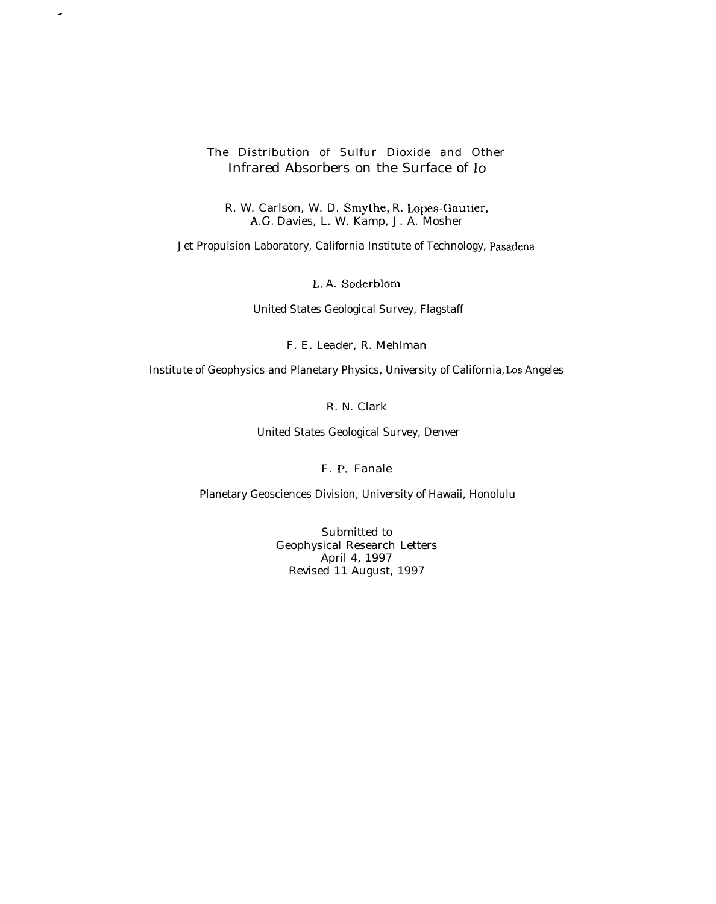## The Distribution of Sulfur Dioxide and Other Infrared Absorbers on the Surface of Io

.

R. W. Carlson, W. D. Smythe, R. Lopes-Gautier, A.G. Davies, L. W. Kamp, J. A. Mosher

Jet Propulsion Laboratory, California Institute of Technology, Pasaclena

L, A. Soderblom

United States Geological Survey, Flagstaff

F. E. Leader, R. Mehlman

Institute of Geophysics and Planetary Physics, University of California, Los Angeles

R. N. Clark

United States Geological Survey, Denver

F. P. Fanale

Planetary Geosciences Division, University of Hawaii, Honolulu

Submitted to Geophysical Research Letters April 4, 1997 Revised 11 August, 1997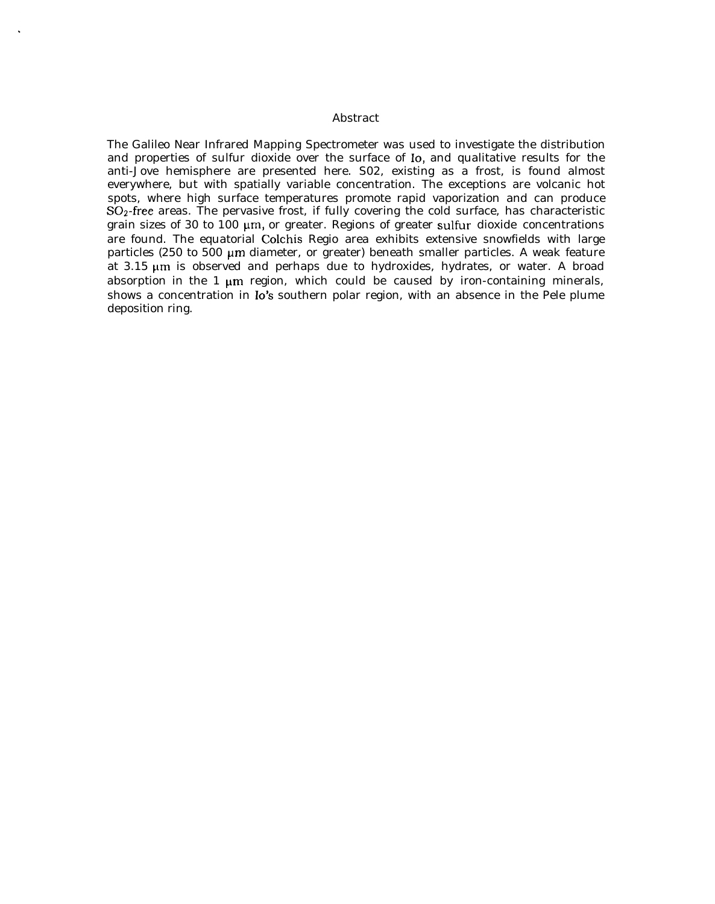## Abstract

The Galileo Near Infrared Mapping Spectrometer was used to investigate the distribution and properties of sulfur dioxide over the surface of Io, and qualitative results for the anti-Jove hemisphere are presented here. S02, existing as a frost, is found almost everywhere, but with spatially variable concentration. The exceptions are volcanic hot spots, where high surface temperatures promote rapid vaporization and can produce  $SO<sub>2</sub>$ -free areas. The pervasive frost, if fully covering the cold surface, has characteristic grain sizes of 30 to  $100 \mu m$ , or greater. Regions of greater sulfur dioxide concentrations are found. The equatorial Colchis Regio area exhibits extensive snowfields with large particles (250 to 500  $\mu$ m diameter, or greater) beneath smaller particles. A weak feature at  $3.15 \mu m$  is observed and perhaps due to hydroxides, hydrates, or water. A broad absorption in the 1  $\mu$ m region, which could be caused by iron-containing minerals, shows a concentration in Io's southern polar region, with an absence in the Pele plume deposition ring.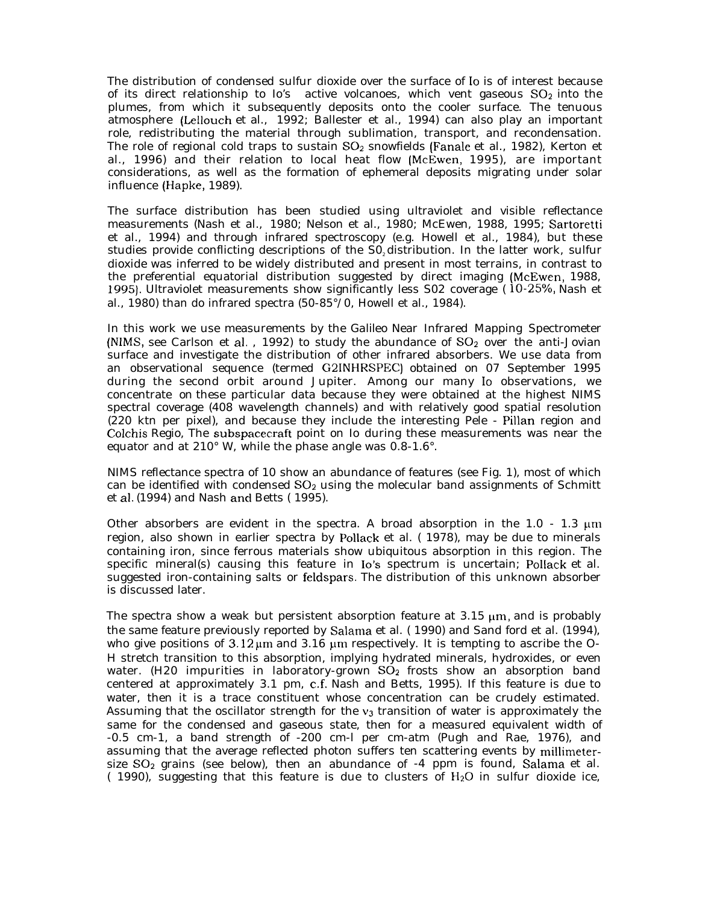The distribution of condensed sulfur dioxide over the surface of Io is of interest because of its direct relationship to Io's active volcanoes, which vent gaseous  $SO_2$  into the plumes, from which it subsequently deposits onto the cooler surface. The tenuous atmosphere (Lellouch et al., 1992; Ballester et al., 1994) can also play an important role, redistributing the material through sublimation, transport, and recondensation. The role of regional cold traps to sustain  $SO_2$  snowfields (Fanale et al., 1982), Kerton et al., 1996) and their relation to local heat flow (McEwen, 1995), are important considerations, as well as the formation of ephemeral deposits migrating under solar influence (Hapke, 1989).

The surface distribution has been studied using ultraviolet and visible reflectance measurements (Nash et al., 1980; Nelson et al., 1980; McEwen, 1988, 1995; Sartoretti et al., 1994) and through infrared spectroscopy (e.g. Howell et al., 1984), but these studies provide conflicting descriptions of the  $SO<sub>2</sub>$  distribution. In the latter work, sulfur dioxide was inferred to be widely distributed and present in most terrains, in contrast to the preferential equatorial distribution suggested by direct imaging (McEwen, 1988, 1995). Ultraviolet measurements show significantly less  $S02$  coverage (10-25%, Nash et al., 1980) than do infrared spectra (50-85°/0, Howell et al., 1984).

In this work we use measurements by the *Galileo* Near Infrared Mapping Spectrometer (NIMS, see Carlson et al., 1992) to study the abundance of  $SO<sub>2</sub>$  over the anti-Jovian surface and investigate the distribution of other infrared absorbers. We use data from an observational sequence (termed G21NHRSPEC) obtained on 07 September 1995 during the second orbit around Jupiter. Among our many Io observations, we concentrate *on* these particular data because they were obtained at the highest NIMS spectral coverage (408 wavelength channels) and with relatively good spatial resolution (220 ktn per pixel), and because they include the interesting Pele - Pillan region and Colchis Regio, The subspacecraft point on Io during these measurements was near the equator and at 210° W, while the phase angle was 0.8-1.6°.

NIMS reflectance spectra of 10 show an abundance of features (see Fig. 1), most of which can be identified with condensed  $SO<sub>2</sub>$  using the molecular band assignments of Schmitt et al. (1994) and Nash and Betts (1995).

Other absorbers are evident in the spectra. A broad absorption in the 1.0 - 1.3  $\mu$ m region, also shown in earlier spectra by Pollack et al. ( 1978), may be due to minerals containing iron, since ferrous materials show ubiquitous absorption in this region. The specific mineral(s) causing this feature in Io's spectrum is uncertain; Pollack et al. suggested iron-containing salts or feldspars. The distribution of this unknown absorber is discussed later.

The spectra show a weak but persistent absorption feature at  $3.15 \mu m$ , and is probably the same feature previously reported by Salama et al. (1990) and Sand ford et al. (1994), who give positions of  $3.12 \mu m$  and  $3.16 \mu m$  respectively. It is tempting to ascribe the O-H stretch transition to this absorption, implying hydrated minerals, hydroxides, or even water. (H20 impurities in laboratory-grown  $SO<sub>2</sub>$  frosts show an absorption band centered at approximately 3.1 pm, c,f. Nash and Betts, 1995). If this feature is due to water, then it is a trace constituent whose concentration can be crudely estimated. Assuming that the oscillator strength for the  $v_3$  transition of water is approximately the same for the condensed and gaseous state, then for a measured equivalent width of -0.5 cm-1, a band strength of -200 cm-l per cm-atm (Pugh and Rae, 1976), and assuming that the average reflected photon suffers ten scattering events by millimetersize  $SO_2$  grains (see below), then an abundance of  $-4$  ppm is found, Salama et al.  $(1990)$ , suggesting that this feature is due to clusters of  $H<sub>2</sub>O$  in sulfur dioxide ice,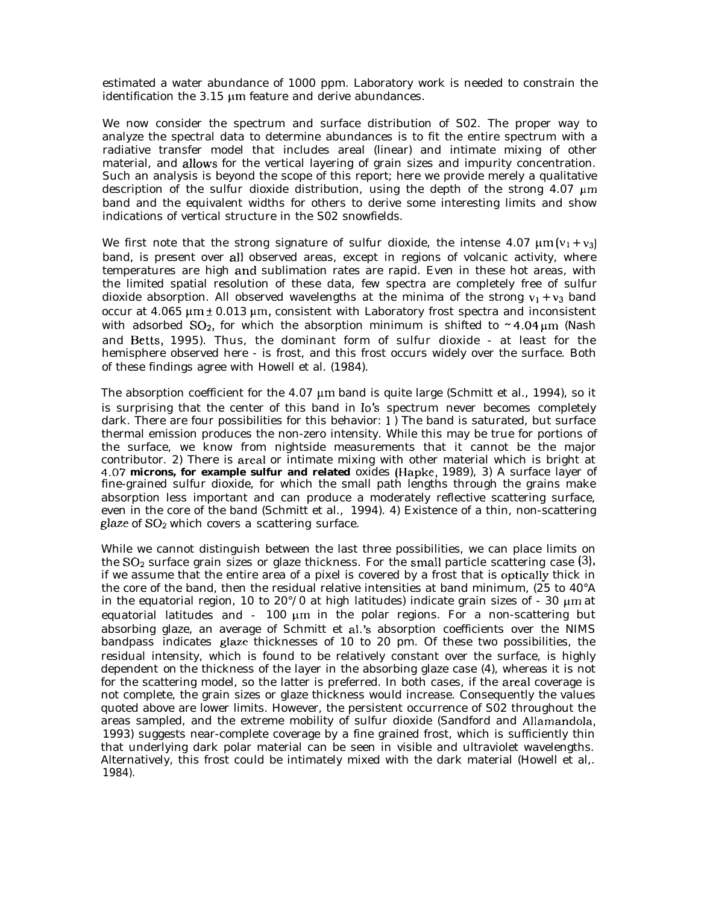estimated a water abundance of 1000 ppm. Laboratory work is needed to constrain the identification the  $3.15 \mu m$  feature and derive abundances.

We now consider the spectrum and surface distribution of S02. The proper way to analyze the spectral data to determine abundances is to fit the entire spectrum with a radiative transfer model that includes areal (linear) and intimate mixing of other material, and allows for the vertical layering of grain sizes and impurity concentration. Such an analysis is beyond the scope of this report; here we provide merely a qualitative description of the sulfur dioxide distribution, using the depth of the strong  $4.07 \mu m$ band and the equivalent widths for others to derive some interesting limits and show indications of vertical structure in the S02 snowfields.

We first note that the strong signature of sulfur dioxide, the intense 4.07  $\mu$ m ( $v_1 + v_3$ ) band, is present over all observed areas, except in regions of volcanic activity, where temperatures are high ancl sublimation rates are rapid. Even in these hot areas, with the limited spatial resolution of these data, few spectra are completely free of sulfur dioxide absorption. All observed wavelengths at the minima of the strong  $v_1 + v_3$  band occur at 4.065  $\mu$ m  $\pm$  0.013  $\mu$ m, consistent with Laboratory frost spectra and inconsistent with adsorbed SO<sub>2</sub>, for which the absorption minimum is shifted to  $\sim$  4.04  $\mu$ m (Nash and Betts, 1995). Thus, the dominant form of sulfur dioxide - at least for the hemisphere observed here - is frost, and this frost occurs widely over the surface. Both of these findings agree with Howell et al. (1984).

The absorption coefficient for the  $4.07 \mu m$  band is quite large (Schmitt et al., 1994), so it is surprising that the center of this band in 10's spectrum never becomes completely dark. There are four possibilities for this behavior: 1) The band is saturated, but surface thermal emission produces the non-zero intensity. While this may be true for portions of the surface, we know from nightside measurements that it cannot be the major contributor. 2) There is areal or intimate mixing with other material which is bright at 4.07 **microns, for example sulfur and related** oxides (Hapke, 1989), 3) A surface layer of fine-grained sulfur dioxide, for which the small path lengths through the grains make absorption less important and can produce a moderately reflective scattering surface, even in the core of the band (Schmitt et al., 1994). 4) Existence of a thin, non-scattering glaze of S02 which *covers* a scattering surface.

While we cannot distinguish between the last three possibilities, we can place limits on the  $SO_2$  surface grain sizes or glaze thickness. For the small particle scattering case  $(3)$ , if we assume that the entire area of a pixel is covered by a frost that is optically thick in the core of the band, then the residual relative intensities at band minimum, (25 to 40°A in the equatorial region, 10 to 20°/0 at high latitudes) indicate grain sizes of - 30  $\mu$ m at equatorial latitudes and - 100  $\mu$ m in the polar regions. For a non-scattering but absorbing glaze, an average of Schmitt et al.'s absorption coefficients over the NIMS bandpass indicates glaze thicknesses of 10 to 20 pm. Of these two possibilities, the residual intensity, which is found to be relatively constant over the surface, is highly dependent *on* the thickness of the layer in the absorbing glaze case (4), whereas it is not for the scattering model, so the latter is preferred. In both cases, if the areal coverage is not complete, the grain sizes or glaze thickness would increase. Consequently the values quoted above are lower limits. However, the persistent occurrence of S02 throughout the areas sampled, and the extreme mobility of sulfur dioxide (Sandford and Allamandola, 1993) suggests near-complete coverage by a fine grained frost, which is sufficiently thin that underlying dark polar material can be seen in visible and ultraviolet wavelengths. Alternatively, this frost could be intimately mixed with the dark material (Howell et al,. 1984).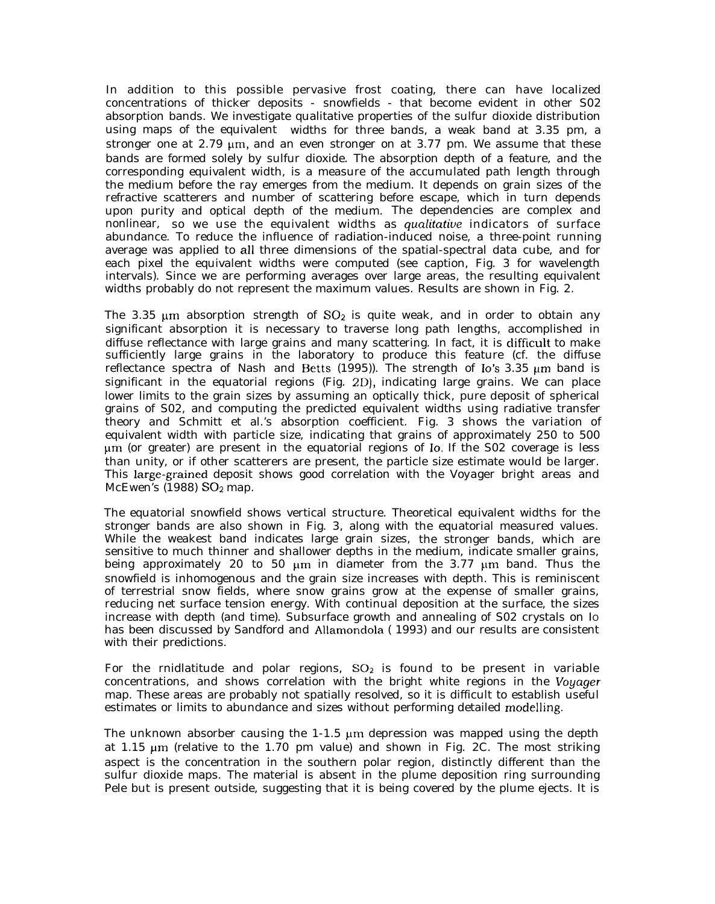In addition to this possible pervasive frost coating, there can have localized concentrations of thicker deposits - snowfields - that become evident in other S02 absorption bands. We investigate qualitative properties of the sulfur dioxide distribution using maps of the equivalent widths for three bands, a weak band at 3.35 pm, a stronger one at  $2.79 \mu m$ , and an even stronger on at 3.77 pm. We assume that these bands are formed solely by sulfur dioxide. The absorption depth of a feature, and the corresponding equivalent width, is a measure of the accumulated path length through the medium before the ray emerges from the medium. It depends on grain sizes of the refractive scatterers and number of scattering before escape, which in turn depends upon purity and optical depth of the medium. The dependencies are complex and nonlinear, so we use the equivalent widths as *qualitative* indicators of surface abundance. To reduce the influence of radiation-induced noise, a three-point running average was applied to all three dimensions of the spatial-spectral data cube, and for each pixel the equivalent widths were computed (see caption, Fig. 3 for wavelength intervals). Since we are performing averages over large areas, the resulting equivalent widths probably do not represent the maximum values. Results are shown in Fig. 2.

The 3.35  $\mu$ m absorption strength of SO<sub>2</sub> is quite weak, and in order to obtain any significant absorption it is necessary to traverse long path lengths, accomplished in diffuse reflectance with large grains and many scattering. In fact, it is difficult to make sufficiently large grains in the laboratory to produce this feature (cf. the diffuse reflectance spectra of Nash and Betts (1995)). The strength of Io's 3.35  $\mu$ m band is significant in the equatorial regions (Fig. 2D), indicating large grains. We can place lower limits to the grain sizes by assuming an optically thick, pure deposit of spherical grains of S02, and computing the predicted equivalent widths using radiative transfer theory and Schmitt et al.'s absorption coefficient. Fig. 3 shows the variation of equivalent width with particle size, indicating that grains of approximately 250 to 500 pm (or greater) are present in the equatorial regions of Io. If the S02 coverage is less than unity, or if other scatterers are present, the particle size estimate would be larger. This large-grained deposit shows good correlation with the *Voyager* bright areas and McEwen's  $(1988)$  SO<sub>2</sub> map.

The equatorial snowfield shows vertical structure. Theoretical equivalent widths for the stronger bands are also shown in Fig. 3, along with the equatorial measured values. While the weakest band indicates large grain sizes, the stronger bands, which are sensitive to much thinner and shallower depths in the medium, indicate smaller grains, being approximately 20 to 50  $\mu$ m in diameter from the 3.77  $\mu$ m band. Thus the snowfield is inhomogenous and the grain size increases with depth. This is reminiscent of terrestrial snow fields, where snow grains grow at the expense of smaller grains, reducing net surface tension energy. With continual deposition at the surface, the sizes increase with depth (and time). Subsurface growth and annealing of S02 crystals on IO has been discussed by Sandford and Allamondola ( 1993) and our results are consistent with their predictions.

For the rnidlatitude and polar regions,  $SO<sub>2</sub>$  is found to be present in variable concentrations, and shows correlation with the bright white regions in the *Vogager* map. These areas are probably not spatially resolved, so it is difficult to establish useful estimates or limits to abundance and sizes without performing detailed modelling.

The unknown absorber causing the  $1-1.5$  µm depression was mapped using the depth at 1.15  $\mu$ m (relative to the 1.70 pm value) and shown in Fig. 2C. The most striking aspect is the concentration in the southern polar region, distinctly different than the sulfur dioxide maps. The material is absent in the plume deposition ring surrounding Pele but is present outside, suggesting that it is being covered by the plume ejects. It is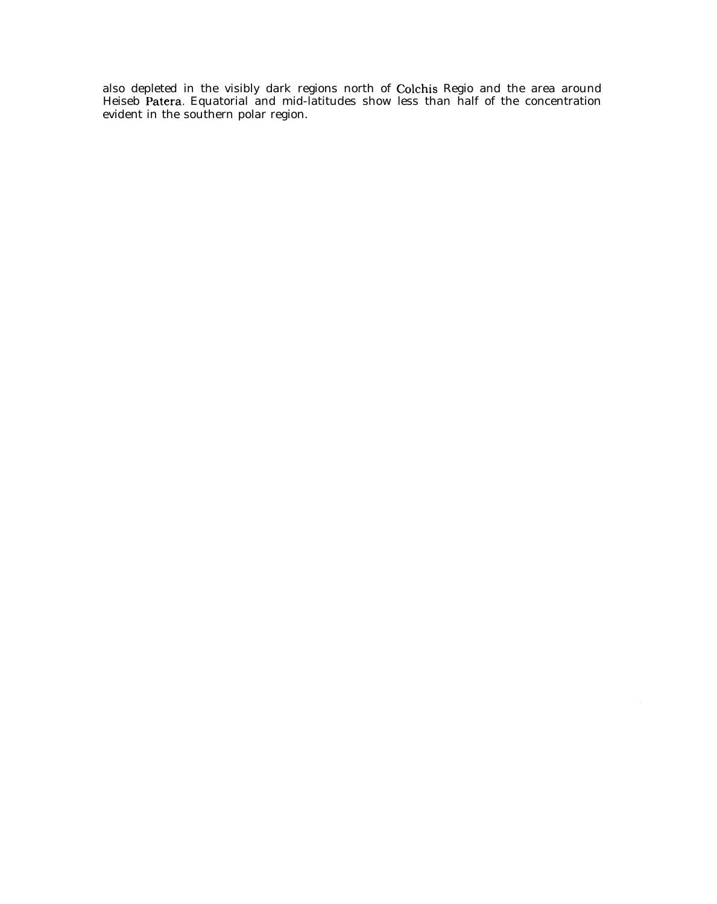also depleted in the visibly dark regions north of Colchis Regio and the area around Heiseb Patera. Equatorial and mid-latitudes show less than half of the concentration evident in the southern polar region.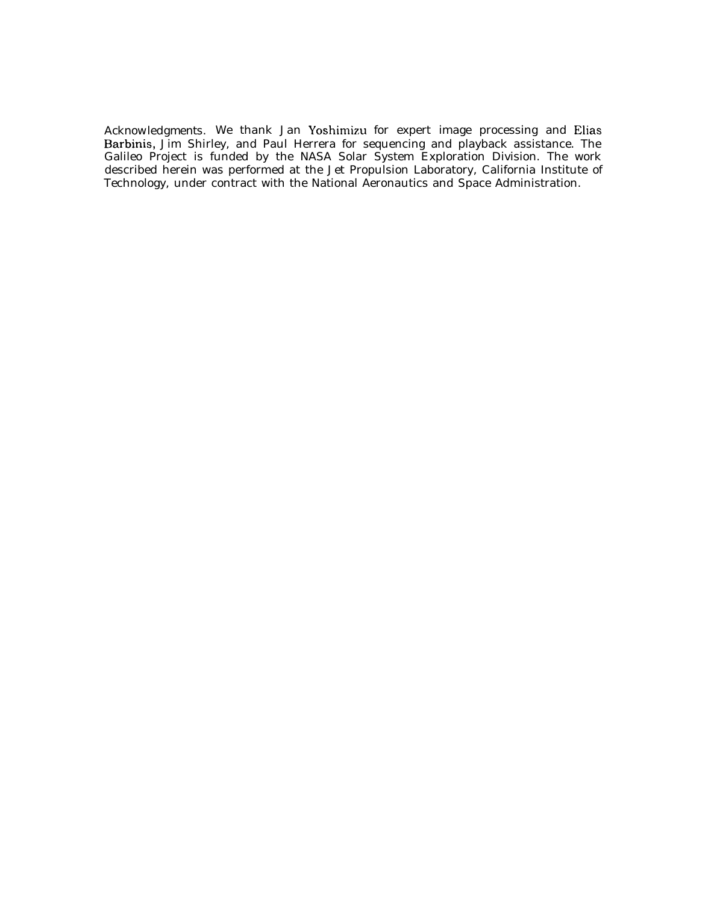*Acknowledgments.* We thank Jan Yoshimizu for expert image processing and Elias Barbinis, Jim Shirley, and Paul Herrera for sequencing and playback assistance. The Galileo Project is funded by the NASA Solar System Exploration Division. The work described herein was performed at the Jet Propulsion Laboratory, California Institute of Technology, under contract with the National Aeronautics and Space Administration.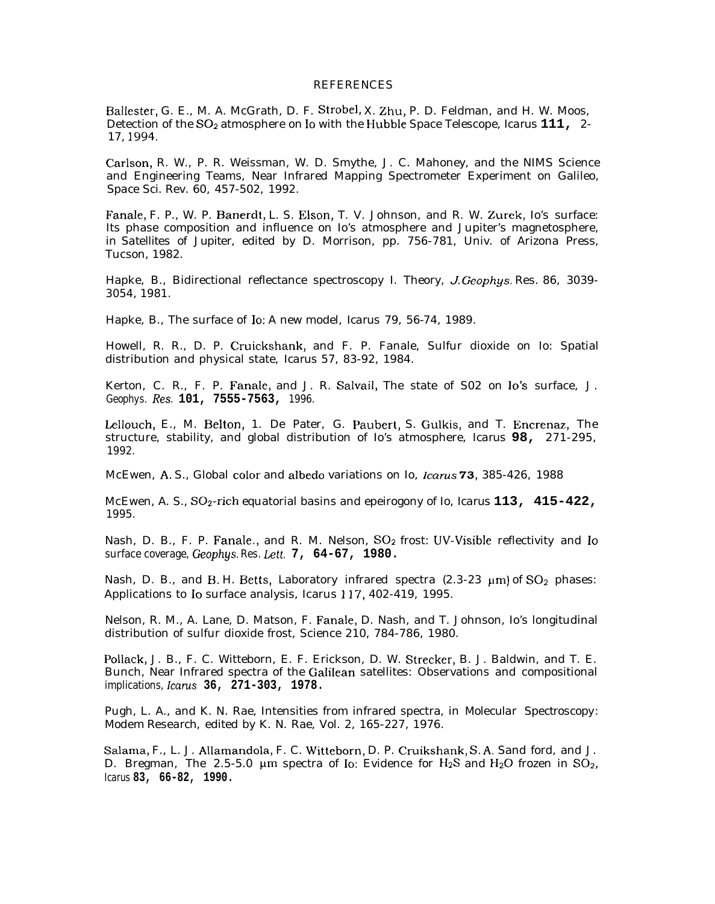## **REFERENCES**

Ballester, G. E., M. A. McGrath, D. F. Strobel, X. Zhu, P. D. Feldman, and H. W. Moos, Detection of the S02 atmosphere on Io with the Hubble Space Telescope, *Icarus* **111,** 2- 17, 1994,

Carlson, R. W., P. R. Weissman, W. D. Smythe, J. C. Mahoney, and the NIMS Science and Engineering Teams, Near Infrared Mapping Spectrometer Experiment on Galileo, *Space Sci. Rev.* 60, 457-502, 1992.

Fanale, F. P., W. P. Banerclt, L. S. Elson, T. V. Johnson, and R. W. Zurek, Io's surface: Its phase composition and influence on Io's atmosphere and Jupiter's magnetosphere, in *Satellites of Jupiter,* edited by D. Morrison, pp. 756-781, Univ. of Arizona Press, Tucson, 1982.

Hapke, B., Bidirectional reflectance spectroscopy I. Theory, J. *Geophgs. Res.* 86, 3039- 3054, 1981.

Hapke, B., The surface of Io: A new model, *Icarus 79, 56-74, 1989.*

Howell, R. R., D. P. Cruickshank, and F. P. Fanale, Sulfur dioxide on Io: Spatial distribution and physical state, *Icarus* 57, 83-92, 1984.

Kerton, C. R., F. P. Fanale, and J. R. Salvail, The state of S02 on Io's surface, *J . Geophys. Res.* **101, 7555-7563,** 1996.

Lellouch, E., M. Belton, 1. De Pater, G. Paubert, S. Gulkis, and T. Encrenaz, The structure, stability, and global distribution of Io's atmosphere, *Icarus* **98,** 271-295, 1992.

McEwen, A. S., Global color and albedo variations on Io, Icarus 73, 385-426, 1988

McEwen, A. S., SOz-rich equatorial basins and epeirogony of Io, *Icarus* **113, 415-422,** 1995.

Nash, D. B., F. P. Fanale., and R. M. Nelson, S02 frost: UV-Visible reflectivity and Io surface coverage, *Geophys. Res. Lett.* **7, 64-67, 1980.**

Nash, D. B., and B. H. Betts, Laboratory infrared spectra  $(2.3-23 \mu m)$  of SO<sub>2</sub> phases: Applications to Io surface analysis, Icarus 117, 402-419, 1995.

Nelson, R. M., A. Lane, D. Matson, F. Fanale, D. Nash, and T. Johnson, Io's longitudinal distribution of sulfur dioxide frost, Science 210, 784-786, 1980.

Pollack, J. B., F. C. Witteborn, E. F. Erickson, D. W. Strecker, B. J. Baldwin, and T. E. Bunch, Near Infrared spectra of the Galilean satellites: Observations and compositional implications, *Icarus* **36, 271-303, 1978.**

Pugh, L. A., and K. N. Rae, Intensities from infrared spectra, in *Molecular Spectroscopy: Modem Research,* edited by K. N. Rae, Vol. 2, 165-227, 1976.

Salama, F., L. J. Allamandola, F. C. Witteborn, D. P. Cruikshank, S. A. Sand ford, and J. D. Bregman, The 2.5-5.0  $\mu$ m spectra of Io: Evidence for H<sub>2</sub>S and H<sub>2</sub>O frozen in SO<sub>2</sub>, *Icarus* **83, 66-82, 1990.**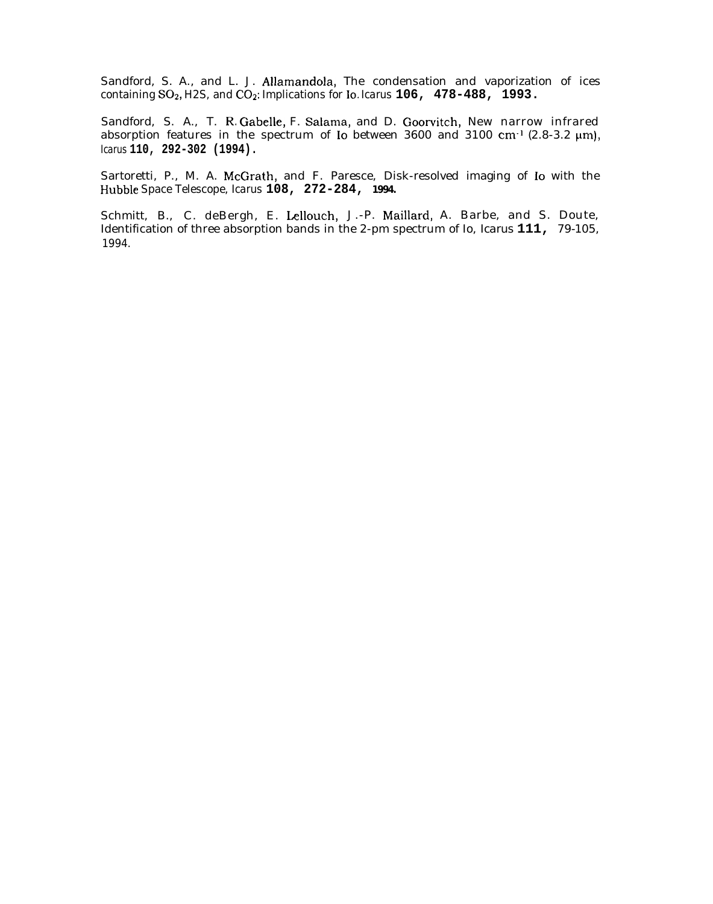Sandford, S. A., and L. J. Allamandola, The condensation and vaporization of ices containing  $SO_2$ , H2S, and  $CO_2$ : Implications for Io. Icarus **106, 478-488,** 1993.

Sandford, S. A., T. R. Gabelle, F. Salama, and D. Goorvitch, New narrow infrared absorption features in the spectrum of Io between 3600 and 3100 cm<sup>-1</sup> (2.8-3.2  $\mu$ m), *Icarus* **110, 292-302 (1994).**

Sartoretti, P., M. A. McGrath, and F. Paresce, Disk-resolved imaging of Io with the Hubble Space Telescope, *Icarus* **108, 272-284, 1994.**

Schmitt, B., C. deBergh, E. Lellouch, J.-P. Maillard, A. Barbe, and S. Doute, Identification of three absorption bands in the 2-pm spectrum of Io, *Icarus* **111,** *79-105, 1994.*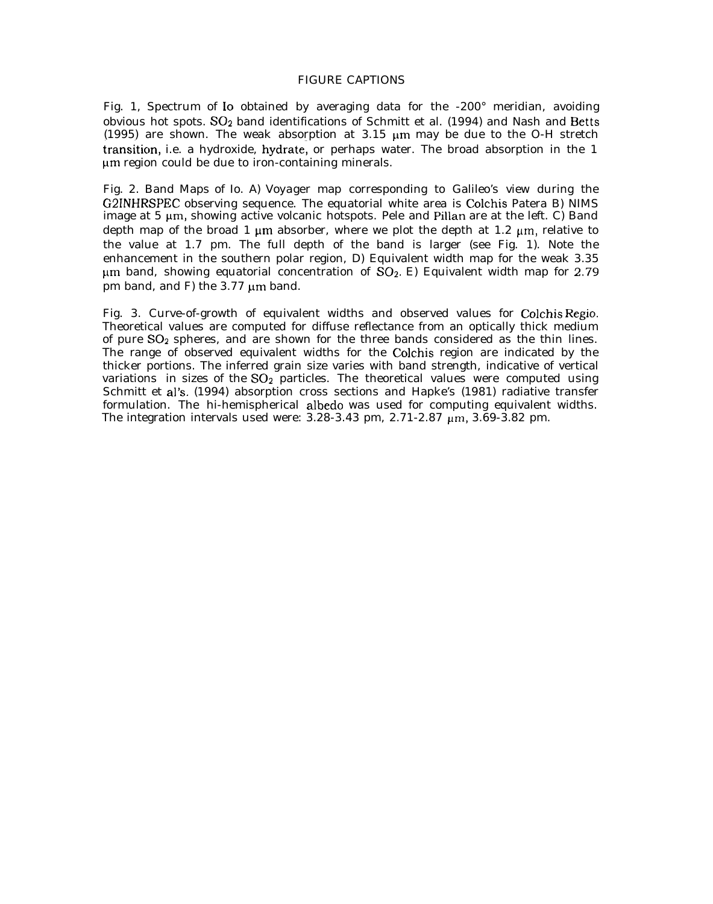## FIGURE CAPTIONS

Fig. 1, Spectrum of Io obtained by averaging data for the -200° meridian, avoiding obvious hot spots.  $SO_2$  band identifications of Schmitt et al. (1994) and Nash and Betts (1995) are shown. The weak absorption at  $3.15 \mu m$  may be due to the O-H stretch transiticm, i.e. a hydroxide, hydrate; or perhaps water. The broad absorption in the 1 µm region could be due to iron-containing minerals.

Fig. 2. Band Maps of Io. A) *Voyager* map corresponding to Galileo's view during the G21NHRSPEC observing sequence. The equatorial white area is Colchis Patera B) NIMS image at  $5 \mu m$ , showing active volcanic hotspots. Pele and Pillan are at the left. C) Band depth map of the broad 1  $\mu$ m absorber, where we plot the depth at 1.2  $\mu$ m, relative to the value at 1.7 pm. The full depth of the band is larger (see Fig. 1). Note the enhancement in the southern polar region, D) Equivalent width map for the weak 3.35  $\mu$ m band, showing equatorial concentration of SO<sub>2</sub>. E) Equivalent width map for 2.79 pm band, and F) the  $3.77 \mu m$  band.

Fig. 3. Curve-of-growth of equivalent widths and observed values for Colchis Regio. Theoretical values are computed for diffuse reflectance from an optically thick medium of pure S02 spheres, and are shown for the three bands considered as the thin lines. The range of observed equivalent widths for the Colchis region are indicated by the thicker portions. The inferred grain size varies with band strength, indicative of vertical variations in sizes of the SO<sub>2</sub> particles. The theoretical values were computed using Schmitt et al's. (1994) absorption cross sections and Hapke's (1981) radiative transfer formulation. The hi-hemispherical albedo was used for computing equivalent widths. The integration intervals used were:  $3.28-3.43$  pm,  $2.71-2.87$   $\mu$ m,  $3.69-3.82$  pm.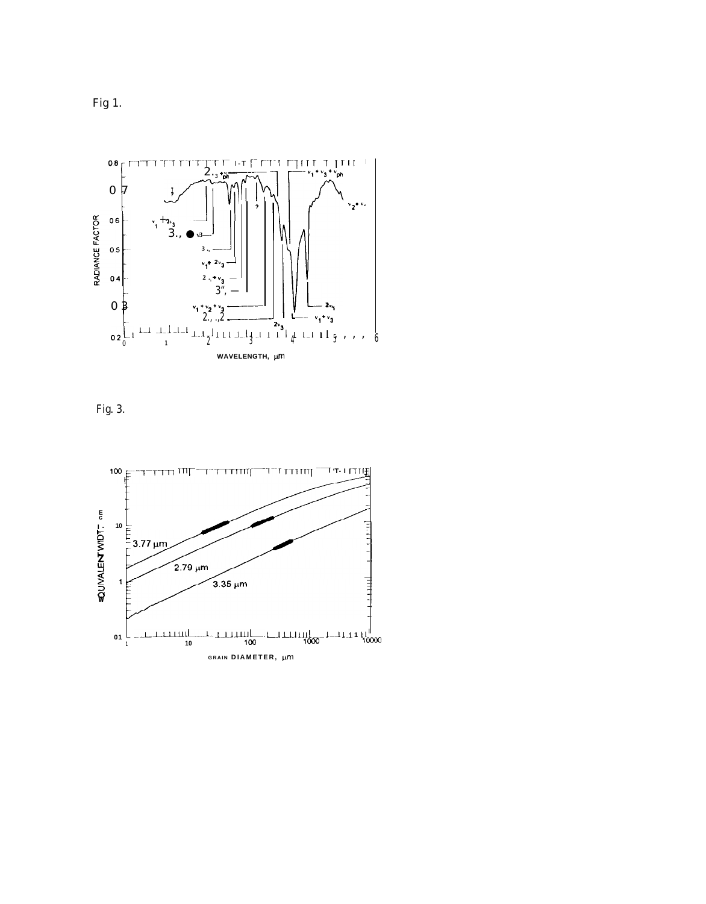Fig 1.